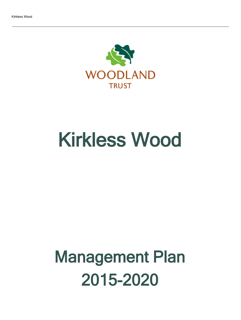

# Kirkless Wood

# Management Plan 2015-2020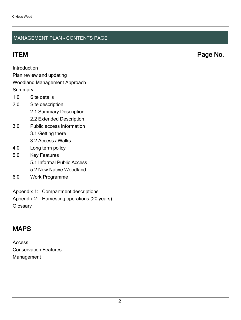#### MANAGEMENT PLAN - CONTENTS PAGE

ITEM Page No.

Introduction

Plan review and updating

#### Woodland Management Approach

**Summary** 

- 1.0 Site details
- 2.0 Site description
	- 2.1 Summary Description
	- 2.2 Extended Description
- 3.0 Public access information
	- 3.1 Getting there
	- 3.2 Access / Walks
- 4.0 Long term policy
- 5.0 Key Features
	- 5.1 Informal Public Access
	- 5.2 New Native Woodland
- 6.0 Work Programme
- Appendix 1: Compartment descriptions
- Appendix 2: Harvesting operations (20 years)

**Glossary** 

## MAPS

Access Conservation Features Management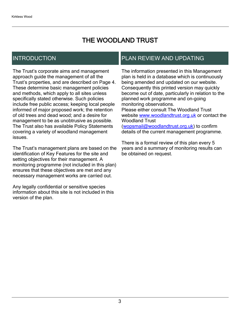## THE WOODLAND TRUST

## INTRODUCTION

The Trust's corporate aims and management approach guide the management of all the Trust's properties, and are described on Page 4. These determine basic management policies and methods, which apply to all sites unless specifically stated otherwise. Such policies include free public access; keeping local people informed of major proposed work; the retention of old trees and dead wood; and a desire for management to be as unobtrusive as possible. The Trust also has available Policy Statements covering a variety of woodland management issues.

The Trust's management plans are based on the identification of Key Features for the site and setting objectives for their management. A monitoring programme (not included in this plan) ensures that these objectives are met and any necessary management works are carried out.

Any legally confidential or sensitive species information about this site is not included in this version of the plan.

## PLAN REVIEW AND UPDATING

The information presented in this Management plan is held in a database which is continuously being amended and updated on our website. Consequently this printed version may quickly become out of date, particularly in relation to the planned work programme and on-going monitoring observations. Please either consult The Woodland Trust website [www.woodlandtrust.org.uk](http://www.woodlandtrust.org.uk/) or contact the Woodland Trust [\(wopsmail@woodlandtrust.org.uk](mailto:wopsmail@woodlandtrust.org.uk)) to confirm

details of the current management programme.

There is a formal review of this plan every 5 years and a summary of monitoring results can be obtained on request.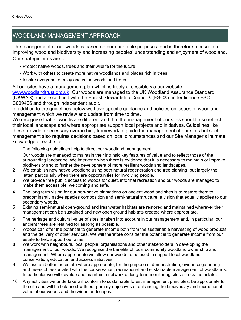## WOODLAND MANAGEMENT APPROACH

The management of our woods is based on our charitable purposes, and is therefore focused on improving woodland biodiversity and increasing peoples' understanding and enjoyment of woodland. Our strategic aims are to:

- Protect native woods, trees and their wildlife for the future
- Work with others to create more native woodlands and places rich in trees
- Inspire everyone to enjoy and value woods and trees

All our sites have a management plan which is freely accessible via our website [www.woodlandtrust.org.uk.](http://www.woodlandtrust.org.uk/) Our woods are managed to the UK Woodland Assurance Standard (UKWAS) and are certified with the Forest Stewardship Council® (FSC®) under licence FSC-C009406 and through independent audit.

In addition to the guidelines below we have specific guidance and policies on issues of woodland management which we review and update from time to time.

We recognise that all woods are different and that the management of our sites should also reflect their local landscape and where appropriate support local projects and initiatives. Guidelines like these provide a necessary overarching framework to guide the management of our sites but such management also requires decisions based on local circumstances and our Site Manager's intimate knowledge of each site.

The following guidelines help to direct our woodland management:

- 1. Our woods are managed to maintain their intrinsic key features of value and to reflect those of the surrounding landscape. We intervene when there is evidence that it is necessary to maintain or improve biodiversity and to further the development of more resilient woods and landscapes.
- 2. We establish new native woodland using both natural regeneration and tree planting, but largely the latter, particularly when there are opportunities for involving people.
- 3. We provide free public access to woods for quiet, informal recreation and our woods are managed to make them accessible, welcoming and safe.
- 4. The long term vision for our non-native plantations on ancient woodland sites is to restore them to predominantly native species composition and semi-natural structure, a vision that equally applies to our secondary woods.
- 5. Existing semi-natural open-ground and freshwater habitats are restored and maintained wherever their management can be sustained and new open ground habitats created where appropriate.
- 6. The heritage and cultural value of sites is taken into account in our management and, in particular, our ancient trees are retained for as long as possible.
- 7. Woods can offer the potential to generate income both from the sustainable harvesting of wood products and the delivery of other services. We will therefore consider the potential to generate income from our estate to help support our aims.
- 8. We work with neighbours, local people, organisations and other stakeholders in developing the management of our woods. We recognise the benefits of local community woodland ownership and management. Where appropriate we allow our woods to be used to support local woodland, conservation, education and access initiatives.
- 9. We use and offer the estate where appropriate, for the purpose of demonstration, evidence gathering and research associated with the conservation, recreational and sustainable management of woodlands. In particular we will develop and maintain a network of long-term monitoring sites across the estate.
- 10 Any activities we undertake will conform to sustainable forest management principles, be appropriate for the site and will be balanced with our primary objectives of enhancing the biodiversity and recreational value of our woods and the wider landscapes.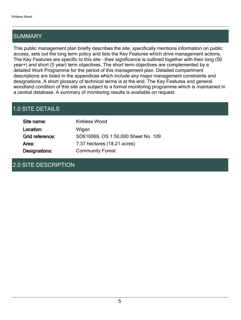## SUMMARY

This public management plan briefly describes the site, specifically mentions information on public access, sets out the long term policy and lists the Key Features which drive management actions. The Key Features are specific to this site - their significance is outlined together with their long (50 year+) and short (5 year) term objectives. The short term objectives are complemented by a detailed Work Programme for the period of this management plan. Detailed compartment descriptions are listed in the appendices which include any major management constraints and designations. A short glossary of technical terms is at the end. The Key Features and general woodland condition of this site are subject to a formal monitoring programme which is maintained in a central database. A summary of monitoring results is available on request.

## 1.0 SITE DETAILS

| Site name:      | <b>Kirkless Wood</b>                |
|-----------------|-------------------------------------|
| Location:       | Wigan                               |
| Grid reference: | SD610069, OS 1:50,000 Sheet No. 109 |
| Area:           | 7.37 hectares (18.21 acres)         |
| Designations:   | <b>Community Forest</b>             |

## 2.0 SITE DESCRIPTION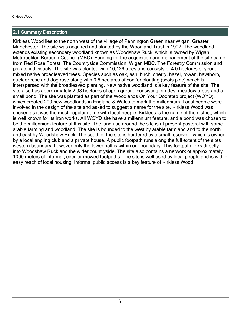#### 2.1 Summary Description

Kirkless Wood lies to the north west of the village of Pennington Green near Wigan, Greater Manchester. The site was acquired and planted by the Woodland Trust in 1997. The woodland extends existing secondary woodland known as Woodshaw Ruck, which is owned by Wigan Metropolitan Borough Council (MBC). Funding for the acquisition and management of the site came from Red Rose Forest, The Countryside Commission, Wigan MBC, The Forestry Commission and private individuals. The site was planted with 10,126 trees and consists of 4.0 hectares of young mixed native broadleaved trees. Species such as oak, ash, birch, cherry, hazel, rowan, hawthorn, guelder rose and dog rose along with 0.5 hectares of conifer planting (scots pine) which is interspersed with the broadleaved planting. New native woodland is a key feature of the site. The site also has approximately 2.98 hectares of open ground consisting of rides, meadow areas and a small pond. The site was planted as part of the Woodlands On Your Doorstep project (WOYD), which created 200 new woodlands in England & Wales to mark the millennium. Local people were involved in the design of the site and asked to suggest a name for the site, Kirkless Wood was chosen as it was the most popular name with local people. Kirklees is the name of the district, which is well known for its iron works. All WOYD site have a millennium feature, and a pond was chosen to be the millennium feature at this site. The land use around the site is at present pastoral with some arable farming and woodland. The site is bounded to the west by arable farmland and to the north and east by Woodshaw Ruck. The south of the site is bordered by a small reservoir, which is owned by a local angling club and a private house. A public footpath runs along the full extent of the sites western boundary, however only the lower half is within our boundary. This footpath links directly into Woodshaw Ruck and the wider countryside. The site also contains a network of approximately 1000 meters of informal, circular mowed footpaths. The site is well used by local people and is within easy reach of local housing. Informal public access is a key feature of Kirkless Wood.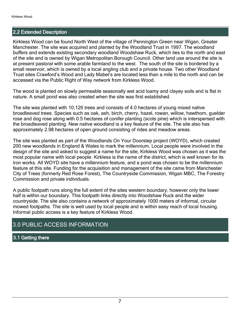#### 2.2 Extended Description

Kirkless Wood can be found North West of the village of Pennington Green near Wigan, Greater Manchester. The site was acquired and planted by the Woodland Trust in 1997. The woodland buffers and extends existing secondary woodland Woodshaw Ruck, which lies to the north and east of the site and is owned by Wigan Metropolitan Borough Council. Other land use around the site is at present pastoral with some arable farmland to the west. The south of the site is bordered by a small reservoir, which is owned by a local angling club and a private house. Two other Woodland Trust sites Crawford's Wood and Lady Mabel's are located less than a mile to the north and can be accessed via the Public Right of Way network from Kirkless Wood.

The wood is planted on slowly permeable seasonally wet acid loamy and clayey soils and is flat in nature. A small pond was also created when the site was first established.

The site was planted with 10,126 trees and consists of 4.0 hectares of young mixed native broadleaved trees. Species such as oak, ash, birch, cherry, hazel, rowan, willow, hawthorn, guelder rose and dog rose along with 0.5 hectares of conifer planting (scots pine) which is interspersed with the broadleaved planting. New native woodland is a key feature of the site. The site also has approximately 2.98 hectares of open ground consisting of rides and meadow areas.

The site was planted as part of the Woodlands On Your Doorstep project (WOYD), which created 200 new woodlands in England & Wales to mark the millennium. Local people were involved in the design of the site and asked to suggest a name for the site, Kirkless Wood was chosen as it was the most popular name with local people. Kirkless is the name of the district, which is well known for its iron works. All WOYD site have a millennium feature, and a pond was chosen to be the millennium feature at this site. Funding for the acquisition and management of the site came from Manchester City of Trees (formerly Red Rose Forest), The Countryside Commission, Wigan MBC, The Forestry Commission and private individuals.

A public footpath runs along the full extent of the sites western boundary, however only the lower half is within our boundary. This footpath links directly into Woodshaw Ruck and the wider countryside. The site also contains a network of approximately 1000 meters of informal, circular mowed footpaths. The site is well used by local people and is within easy reach of local housing. Informal public access is a key feature of Kirkless Wood.

## 3.0 PUBLIC ACCESS INFORMATION

#### 3.1 Getting there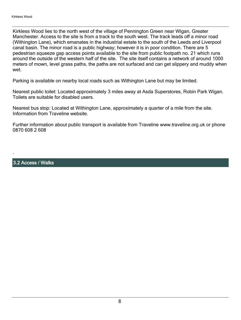Kirkless Wood lies to the north west of the village of Pennington Green near Wigan, Greater Manchester. Access to the site is from a track to the south west. The track leads off a minor road (Withington Lane), which emanates in the industrial estate to the south of the Leeds and Liverpool canal basin. The minor road is a public highway; however it is in poor condition. There are 5 pedestrian squeeze gap access points available to the site from public footpath no. 21 which runs around the outside of the western half of the site. The site itself contains a network of around 1000 meters of mown, level grass paths, the paths are not surfaced and can get slippery and muddy when wet

Parking is available on nearby local roads such as Withington Lane but may be limited.

Nearest public toilet: Located approximately 3 miles away at Asda Superstores, Robin Park Wigan. Toilets are suitable for disabled users.

Nearest bus stop: Located at Withington Lane, approximately a quarter of a mile from the site. Information from Traveline website.

Further information about public transport is available from Traveline www.traveline.org.uk or phone 0870 608 2 608

3.2 Access / Walks

.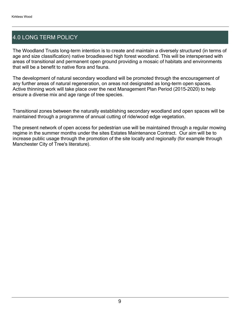## 4.0 LONG TERM POLICY

The Woodland Trusts long-term intention is to create and maintain a diversely structured (in terms of age and size classification) native broadleaved high forest woodland. This will be interspersed with areas of transitional and permanent open ground providing a mosaic of habitats and environments that will be a benefit to native flora and fauna.

The development of natural secondary woodland will be promoted through the encouragement of any further areas of natural regeneration, on areas not designated as long-term open spaces. Active thinning work will take place over the next Management Plan Period (2015-2020) to help ensure a diverse mix and age range of tree species.

Transitional zones between the naturally establishing secondary woodland and open spaces will be maintained through a programme of annual cutting of ride/wood edge vegetation.

The present network of open access for pedestrian use will be maintained through a regular mowing regime in the summer months under the sites Estates Maintenance Contract. Our aim will be to increase public usage through the promotion of the site locally and regionally (for example through Manchester City of Tree's literature).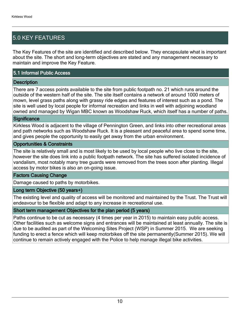## 5.0 KEY FEATURES

The Key Features of the site are identified and described below. They encapsulate what is important about the site. The short and long-term objectives are stated and any management necessary to maintain and improve the Key Feature.

#### 5.1 Informal Public Access

#### **Description**

There are 7 access points available to the site from public footpath no. 21 which runs around the outside of the western half of the site. The site itself contains a network of around 1000 meters of mown, level grass paths along with grassy ride edges and features of interest such as a pond. The site is well used by local people for informal recreation and links in well with adjoining woodland owned and managed by Wigan MBC known as Woodshaw Ruck, which itself has a number of paths.

#### **Significance**

Kirkless Wood is adjacent to the village of Pennington Green, and links into other recreational areas and path networks such as Woodshaw Ruck. It is a pleasant and peaceful area to spend some time, and gives people the opportunity to easily get away from the urban environment.

#### Opportunities & Constraints

The site is relatively small and is most likely to be used by local people who live close to the site, however the site does link into a public footpath network. The site has suffered isolated incidence of vandalism, most notably many tree guards were removed from the trees soon after planting. Illegal access by motor bikes is also an on-going issue.

#### Factors Causing Change

Damage caused to paths by motorbikes.

#### Long term Objective (50 years+)

The existing level and quality of access will be monitored and maintained by the Trust. The Trust will endeavour to be flexible and adapt to any increase in recreational use.

#### Short term management Objectives for the plan period (5 years)

Paths continue to be cut as necessary (4 times per year in 2015) to maintain easy public access. Other facilities such as welcome signs and entrances will be maintained at least annually. The site is due to be audited as part of the Welcoming Sites Project (WSP) in Summer 2015. We are seeking funding to erect a fence which will keep motorbikes off the site permanently(Summer 2015). We will continue to remain actively engaged with the Police to help manage illegal bike activities.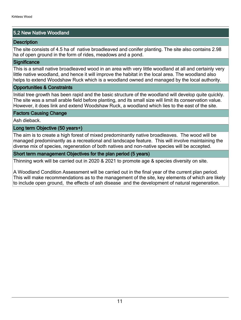#### 5.2 New Native Woodland

#### **Description**

The site consists of 4.5 ha of native broadleaved and conifer planting. The site also contains 2.98 ha of open ground in the form of rides, meadows and a pond.

#### **Significance**

This is a small native broadleaved wood in an area with very little woodland at all and certainly very little native woodland, and hence it will improve the habitat in the local area. The woodland also helps to extend Woodshaw Ruck which is a woodland owned and managed by the local authority.

#### Opportunities & Constraints

Initial tree growth has been rapid and the basic structure of the woodland will develop quite quickly. The site was a small arable field before planting, and its small size will limit its conservation value. However, it does link and extend Woodshaw Ruck, a woodland which lies to the east of the site.

#### Factors Causing Change

Ash dieback.

#### Long term Objective (50 years+)

The aim is to create a high forest of mixed predominantly native broadleaves. The wood will be managed predominantly as a recreational and landscape feature. This will involve maintaining the diverse mix of species, regeneration of both natives and non-native species will be accepted.

#### Short term management Objectives for the plan period (5 years)

Thinning work will be carried out in 2020 & 2021 to promote age & species diversity on site.

A Woodland Condition Assessment will be carried out in the final year of the current plan period. This will make recommendations as to the management of the site, key elements of which are likely to include open ground, the effects of ash disease and the development of natural regeneration.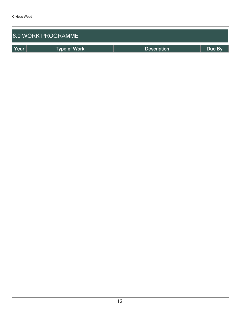| <b>6.0 WORK PROGRAMME</b> |                     |                    |        |  |  |  |
|---------------------------|---------------------|--------------------|--------|--|--|--|
| Year                      | <b>Type of Work</b> | <b>Description</b> | Due By |  |  |  |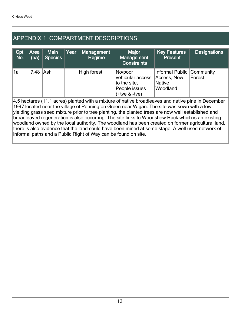## APPENDIX 1: COMPARTMENT DESCRIPTIONS

| Cpt<br>No.                                                                                                                                                                                                                                                                                                                                                                                                                                                                                                                                                                                                                                                                            | Area<br>(ha) | <b>Main</b><br><b>Species</b> | Year | <b>Management</b><br>Regime | <b>Major</b><br><b>Management</b><br><b>Constraints</b>                         | <b>Key Features</b><br><b>Present</b>                       | <b>Designations</b> |
|---------------------------------------------------------------------------------------------------------------------------------------------------------------------------------------------------------------------------------------------------------------------------------------------------------------------------------------------------------------------------------------------------------------------------------------------------------------------------------------------------------------------------------------------------------------------------------------------------------------------------------------------------------------------------------------|--------------|-------------------------------|------|-----------------------------|---------------------------------------------------------------------------------|-------------------------------------------------------------|---------------------|
| 1a                                                                                                                                                                                                                                                                                                                                                                                                                                                                                                                                                                                                                                                                                    | 7.48         | Ash                           |      | <b>High forest</b>          | No/poor<br>vehicular access<br>to the site.<br>People issues<br>$(+tve & -tve)$ | Informal Public<br>Access, New<br><b>Native</b><br>Woodland | Community<br>Forest |
| 4.5 hectares (11.1 acres) planted with a mixture of native broadleaves and native pine in December<br>1997 located near the village of Pennington Green near Wigan. The site was sown with a low<br>yielding grass seed mixture prior to tree planting, the planted trees are now well established and<br>broadleaved regeneration is also occurring. The site links to Woodshaw Ruck which is an existing<br>woodland owned by the local authority. The woodland has been created on former agricultural land,<br>there is also evidence that the land could have been mined at some stage. A well used network of<br>informal paths and a Public Right of Way can be found on site. |              |                               |      |                             |                                                                                 |                                                             |                     |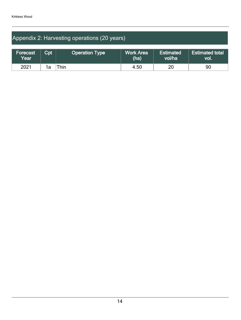## Appendix 2: Harvesting operations (20 years)

| Forecast<br>Year | $\mathsf{Cpt}$ | <b>Operation Type</b> | <b>Work Area</b><br>(ha) | <b>Estimated</b><br>vol/ha | <b>Estimated total</b><br>VOI. |
|------------------|----------------|-----------------------|--------------------------|----------------------------|--------------------------------|
| 2021             | 1a             | Thin.                 | 4.50                     | 20                         | 90                             |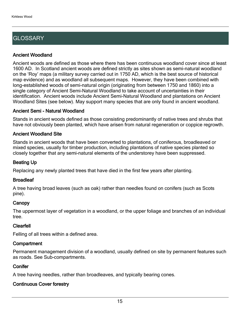## **GLOSSARY**

#### Ancient Woodland

Ancient woods are defined as those where there has been continuous woodland cover since at least 1600 AD. In Scotland ancient woods are defined strictly as sites shown as semi-natural woodland on the 'Roy' maps (a military survey carried out in 1750 AD, which is the best source of historical map evidence) and as woodland all subsequent maps. However, they have been combined with long-established woods of semi-natural origin (originating from between 1750 and 1860) into a single category of Ancient Semi-Natural Woodland to take account of uncertainties in their identification. Ancient woods include Ancient Semi-Natural Woodland and plantations on Ancient Woodland Sites (see below). May support many species that are only found in ancient woodland.

#### Ancient Semi - Natural Woodland

Stands in ancient woods defined as those consisting predominantly of native trees and shrubs that have not obviously been planted, which have arisen from natural regeneration or coppice regrowth.

#### Ancient Woodland Site

Stands in ancient woods that have been converted to plantations, of coniferous, broadleaved or mixed species, usually for timber production, including plantations of native species planted so closely together that any semi-natural elements of the understorey have been suppressed.

#### Beating Up

Replacing any newly planted trees that have died in the first few years after planting.

#### **Broadleaf**

A tree having broad leaves (such as oak) rather than needles found on conifers (such as Scots pine).

#### **Canopy**

The uppermost layer of vegetation in a woodland, or the upper foliage and branches of an individual tree.

#### Clearfell

Felling of all trees within a defined area.

#### **Compartment**

Permanent management division of a woodland, usually defined on site by permanent features such as roads. See Sub-compartments.

#### **Conifer**

A tree having needles, rather than broadleaves, and typically bearing cones.

### Continuous Cover forestry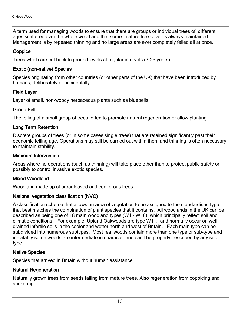A term used for managing woods to ensure that there are groups or individual trees of different ages scattered over the whole wood and that some mature tree cover is always maintained. Management is by repeated thinning and no large areas are ever completely felled all at once.

#### **Coppice**

Trees which are cut back to ground levels at regular intervals (3-25 years).

#### Exotic (non-native) Species

Species originating from other countries (or other parts of the UK) that have been introduced by humans, deliberately or accidentally.

#### Field Layer

Layer of small, non-woody herbaceous plants such as bluebells.

#### Group Fell

The felling of a small group of trees, often to promote natural regeneration or allow planting.

#### Long Term Retention

Discrete groups of trees (or in some cases single trees) that are retained significantly past their economic felling age. Operations may still be carried out within them and thinning is often necessary to maintain stability.

#### Minimum Intervention

Areas where no operations (such as thinning) will take place other than to protect public safety or possibly to control invasive exotic species.

#### Mixed Woodland

Woodland made up of broadleaved and coniferous trees.

#### National vegetation classification (NVC)

A classification scheme that allows an area of vegetation to be assigned to the standardised type that best matches the combination of plant species that it contains. All woodlands in the UK can be described as being one of 18 main woodland types (W1 - W18), which principally reflect soil and climatic conditions. For example, Upland Oakwoods are type W11, and normally occur on well drained infertile soils in the cooler and wetter north and west of Britain. Each main type can be subdivided into numerous subtypes. Most real woods contain more than one type or sub-type and inevitably some woods are intermediate in character and can't be properly described by any sub type.

#### Native Species

Species that arrived in Britain without human assistance.

#### Natural Regeneration

Naturally grown trees from seeds falling from mature trees. Also regeneration from coppicing and suckering.